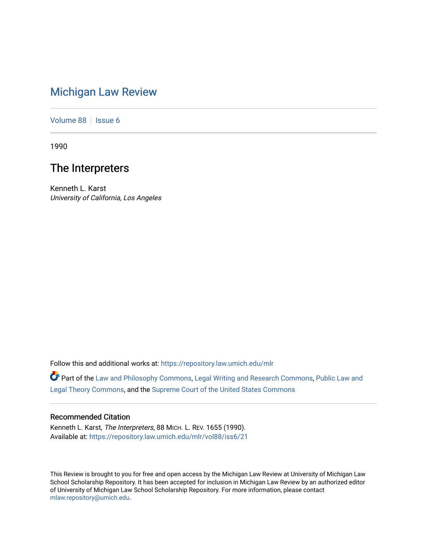# [Michigan Law Review](https://repository.law.umich.edu/mlr)

[Volume 88](https://repository.law.umich.edu/mlr/vol88) | [Issue 6](https://repository.law.umich.edu/mlr/vol88/iss6)

1990

## The Interpreters

Kenneth L. Karst University of California, Los Angeles

Follow this and additional works at: [https://repository.law.umich.edu/mlr](https://repository.law.umich.edu/mlr?utm_source=repository.law.umich.edu%2Fmlr%2Fvol88%2Fiss6%2F21&utm_medium=PDF&utm_campaign=PDFCoverPages) 

Part of the [Law and Philosophy Commons,](http://network.bepress.com/hgg/discipline/1299?utm_source=repository.law.umich.edu%2Fmlr%2Fvol88%2Fiss6%2F21&utm_medium=PDF&utm_campaign=PDFCoverPages) [Legal Writing and Research Commons,](http://network.bepress.com/hgg/discipline/614?utm_source=repository.law.umich.edu%2Fmlr%2Fvol88%2Fiss6%2F21&utm_medium=PDF&utm_campaign=PDFCoverPages) Public Law and [Legal Theory Commons,](http://network.bepress.com/hgg/discipline/871?utm_source=repository.law.umich.edu%2Fmlr%2Fvol88%2Fiss6%2F21&utm_medium=PDF&utm_campaign=PDFCoverPages) and the [Supreme Court of the United States Commons](http://network.bepress.com/hgg/discipline/1350?utm_source=repository.law.umich.edu%2Fmlr%2Fvol88%2Fiss6%2F21&utm_medium=PDF&utm_campaign=PDFCoverPages)

#### Recommended Citation

Kenneth L. Karst, The Interpreters, 88 MICH. L. REV. 1655 (1990). Available at: [https://repository.law.umich.edu/mlr/vol88/iss6/21](https://repository.law.umich.edu/mlr/vol88/iss6/21?utm_source=repository.law.umich.edu%2Fmlr%2Fvol88%2Fiss6%2F21&utm_medium=PDF&utm_campaign=PDFCoverPages) 

This Review is brought to you for free and open access by the Michigan Law Review at University of Michigan Law School Scholarship Repository. It has been accepted for inclusion in Michigan Law Review by an authorized editor of University of Michigan Law School Scholarship Repository. For more information, please contact [mlaw.repository@umich.edu.](mailto:mlaw.repository@umich.edu)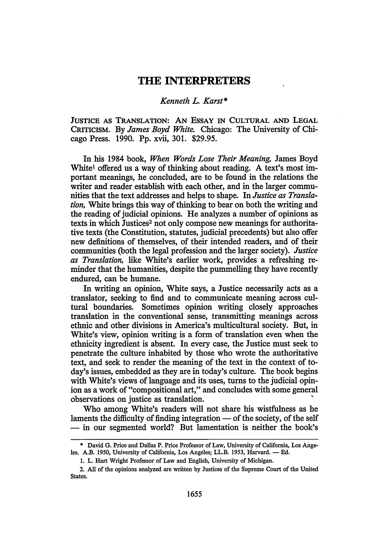### **THE INTERPRETERS**

#### *Kenneth L. Karst\**

JUSTICE AS 'TRANSLATION: AN EsSAY IN CULTURAL AND LEGAL CRITICISM. By *James Boyd White.* Chicago: The University of Chicago Press. 1990. Pp. xvii, 301. \$29.95.

In his 1984 book, *When Words Lose Their Meaning,* James Boyd White<sup>1</sup> offered us a way of thinking about reading. A text's most important meanings, he concluded, are to be found in the relations the writer and reader establish with each other, and in the larger communities that the text addresses and helps to shape. In *Justice as Translation,* White brings this way of thinking to bear on both the writing and the reading of judicial opinions. He analyzes a number of opinions as texts in which Justices2 not only compose new meanings for authoritative texts (the Constitution, statutes, judicial precedents) but also offer new definitions of themselves, of their intended readers, and of their communities (both the legal profession and the larger society). *Justice as Translation,* like White's earlier work, provides a refreshing reminder that the humanities, despite the pummelling they have recently endured, can be humane.

In writing an opinion, White says, a Justice necessarily acts as a translator, seeking to find and to communicate meaning across cultural boundaries. Sometimes opinion writing closely approaches translation in the conventional sense, transmitting meanings across ethnic and other divisions in America's multicultural society. But, in White's view, opinion writing is a form of translation even when the ethnicity ingredient is absent. In every case, the Justice must seek to penetrate the culture inhabited by those who wrote the authoritative text, and seek to render the meaning of the text in the context of today's issues, embedded as they are in today's culture. The book begins with White's views of language and its uses, turns to the judicial opinion as a work of "compositional art," and concludes with some general observations on justice as translation. '

Who among White's readers will not share his wistfulness as he laments the difficulty of finding integration  $-$  of the society, of the self - in our segmented world? But lamentation is neither the book's

<sup>\*</sup> David G. Price and Dallas P. Price Professor of Law, University of California, Los Angeles. A.B. 1950, University of California, Los Angeles; LL.B. 1953, Harvard. - Ed.

I. L. Hart Wright Professor of Law and English, University of Michigan.

<sup>2.</sup> All of the opinions analyzed are written by Justices of the Supreme Court of the United States.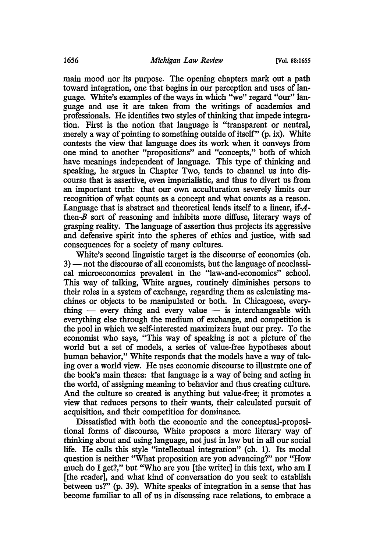main mood nor its purpose. The opening chapters mark out a path toward integration, one that begins in our perception and uses of language. White's examples of the ways in which "we" regard "our" language and use it are taken from the writings of academics and professionals. He identifies two styles of thinking that impede integration. First is the notion that language is "transparent or neutral, merely a way of pointing to something outside of itself" (p. ix). White contests the view that language does its work when it conveys from one mind to another "propositions" and "concepts," both of which have meanings independent of language. This type of thinking and speaking, he argues in Chapter Two, tends to channel us into discourse that is assertive, even imperialistic, and thus to divert us from an important truth: that our own acculturation severely limits our recognition of what counts as a concept and what counts as a reason. Language that is abstract and theoretical lends itself to a linear, if-Athen-B sort of reasoning and inhibits more diffuse, literary ways of grasping reality. The language of assertion thus projects its aggressive and defensive spirit into the spheres of ethics and justice, with sad consequences for a society of many cultures.

White's second linguistic target is the discourse of economics (ch. 3) — not the discourse of all economists, but the language of neoclassical microeconomics prevalent in the "law-and-economics" school. This way of talking, White argues, routinely diminishes persons to their roles in a system of exchange, regarding them as calculating machines or objects to be manipulated or both. In Chicagoese, everything  $-$  every thing and every value  $-$  is interchangeable with everything else through the medium of exchange, and competition is the pool in which we self-interested maximizers hunt our prey. To the economist who says, "This way of speaking is not a picture of the world but a set of models, a series of value-free hypotheses about human behavior," White responds that the models have a way of taking over a world view. He uses economic discourse to illustrate one of the book's main theses: that language is a way of being and acting in the world, of assigning meaning to behavior and thus creating culture. And the culture so created is anything but value-free; it promotes a view that reduces persons to their wants, their calculated pursuit of acquisition, and their competition for dominance.

Dissatisfied with both the economic and the conceptual-propositional forms of discourse, White proposes a more literary way of thinking about and using language, not just in law but in all our social life. He calls this style "intellectual integration" (ch. 1). Its modal question is neither "What proposition are you advancing?" nor "How much do I get?," but "Who are you [the writer] in this text, who am I [the reader], and what kind of conversation do you seek to establish between us?" (p. 39). White speaks of integration in a sense that has become familiar to all of us in discussing race relations, to embrace a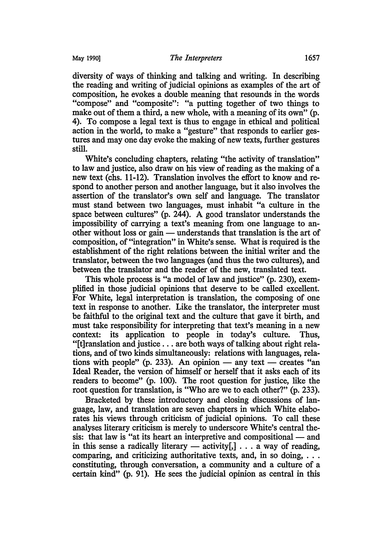diversity of ways of thinking and talking and writing. In describing the reading and writing of judicial opinions as examples of the art of composition, he evokes a double meaning that resounds in the words "compose" and "composite": "a putting together of two things to make out of them a third, a new whole, with a meaning of its own" (p. 4). To compose a legal text is thus to engage in ethical and political action in the world, to make a "gesture" that responds to earlier gestures and may one day evoke the making of new texts, further gestures still.

White's concluding chapters, relating "the activity of translation" to law and justice, also draw on his view of reading as the making of a new text (chs. 11-12). Translation involves the effort to know and respond to another person and another language, but it also involves the assertion of the translator's own self and language. The translator must stand between two languages, must inhabit "a culture in the space between cultures" (p. 244). A good translator understands the impossibility of carrying a text's meaning from one language to another without loss or gain — understands that translation is the art of composition, of "integration" in White's sense. What is required is the establishment of the right relations between the initial writer and the translator, between the two languages (and thus the two cultures), and between the translator and the reader of the new, translated text.

This whole process is "a model of law and justice" (p. 230), exemplified in those judicial opinions that deserve to be called excellent. For White, legal interpretation is translation, the composing of one text in response to another. Like the translator, the interpreter must be faithful to the original text and the culture that gave it birth, and must take responsibility for interpreting that text's meaning in a new context: its application to people in today's culture. Thus, "[t]ranslation and justice ... are both ways of talking about right relations, and of two kinds simultaneously: relations with languages, relations with people" (p. 233). An opinion  $-$  any text  $-$  creates "an Ideal Reader, the version of himself or herself that it asks each of its readers to become" (p. 100). The root question for justice, like the root question for translation, is "Who are we to each other?" (p. 233).

Bracketed by these introductory and closing discussions of language, law, and translation are seven chapters in which White elaborates his views through criticism of judicial opinions. To call these analyses literary criticism is merely to underscore White's central thesis: that law is "at its heart an interpretive and compositional — and in this sense a radically literary — activity[,]  $\ldots$  a way of reading, comparing, and criticizing authoritative texts, and, in so doing, . . . constituting, through conversation, a community and a culture of a certain kind" (p. 91). He sees the judicial opinion as central in this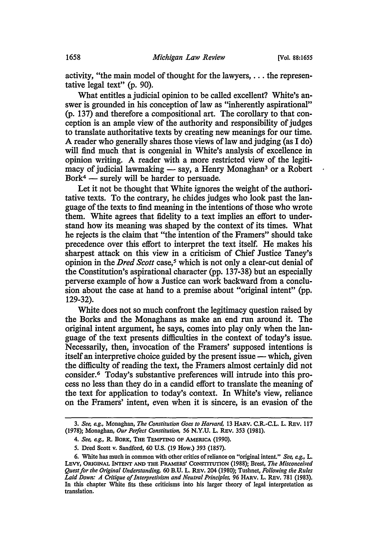activity, "the main model of thought for the lawyers, ... the representative legal text" (p. 90).

What entitles a judicial opinion to be called excellent? White's answer is grounded in his conception of law as "inherently aspirational" (p. 137) and therefore a compositional art. The corollary to that conception is an ample view of the authority and responsibility of judges to translate authoritative texts by creating new meanings for our time. A reader who generally shares those views of law and judging (as I do) will find much that is congenial in White's analysis of excellence in opinion writing. A reader with a more restricted view of the legitimacy of judicial lawmaking  $-$  say, a Henry Monaghan<sup>3</sup> or a Robert  $Bork<sup>4</sup>$  — surely will be harder to persuade.

Let it not be thought that White ignores the weight of the authoritative texts. To the contrary, he chides judges who look past the language of the texts to find meaning in the intentions of those who wrote them. White agrees that fidelity to a text implies an effort to understand how its meaning was shaped by the context of its times. What he rejects is the claim that "the intention of the Framers" should take precedence over this effort to interpret the text itself. He makes his sharpest attack on this view in a criticism of Chief Justice Taney's opinion in the *Dred Scott* case,<sup>5</sup> which is not only a clear-cut denial of the Constitution's aspirational character (pp. 137-38) but an especially perverse example of how a Justice can work backward from a conclusion about the case at hand to a premise about "original intent" (pp. 129-32).

White does not so much confront the legitimacy question raised by the Borks and the Monaghans as make an end run around it. The original intent argument, he says, comes into play only when the language of the text presents difficulties in the context of today's issue. Necessarily, then, invocation of the Framers' supposed intentions is itself an interpretive choice guided by the present issue — which, given the difficulty of reading the text, the Framers almost certainly did not consider. 6 Today's substantive preferences will intrude into this process no less than they do in a candid effort to translate the meaning of the text for application to today's context. In White's view, reliance on the Framers' intent, even when it is sincere, is an evasion of the

<sup>3.</sup> *See, e.g.,* Monaghan, *The Constitution Goes to Harvard,* 13 HARV. C.R.-C.L. L. REV. 117 (1978); Monaghan, *Our Perfect Constitution,* 56 N.Y.U. L. REV. 353 (1981).

<sup>4.</sup> *See, e.g.,* R. BORK, THE TEMPTING OF AMERICA (1990).

*<sup>5.</sup>* Died Scott v. Sandford, 60 U.S. (19 How.) 393 (1857).

<sup>6.</sup> White has much in common with other critics of reliance on "original intent." *See, e.g.,* L. LEVY, ORIGINAL INTENT AND THE FRAMERS' CONSTITUTION (1988); Brest, *The Misconceived Quest/or the Original Understanding,* 60 B.U. L. REv. 204 (1980); Tushnet, *Following the Rules Laid Down: A Critique of Interpretivism and Neutral Principles,* 96 HARV. L. REv. 781 (1983). In this chapter White fits these criticisms into his larger theory of legal interpretation as translation.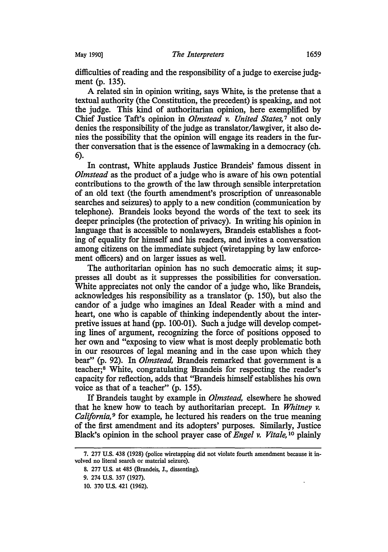difficulties of reading and the responsibility of a judge to exercise judgment (p. 135).

A related sin in opinion writing, says White, is the pretense that a textual authority (the Constitution, the precedent) is speaking, and not the judge. This kind of authoritarian opinion, here exemplified by Chief Justice Taft's opinion in *Olmstead v. United States,* 7 not only denies the responsibility of the judge as translator/lawgiver, it also denies the possibility that the opinion will engage its readers in the further conversation that is the essence of lawmaking in a democracy (ch. 6).

In contrast, White applauds Justice Brandeis' famous dissent in *Olmstead* as the product of a judge who is aware of his own potential contributions to the growth of the law through sensible interpretation of an old text (the fourth amendment's proscription of unreasonable searches and seizures) to apply to a new condition (communication by telephone). Brandeis looks beyond the words of the text to seek its deeper principles (the protection of privacy). In writing his opinion in language that is accessible to nonlawyers, Brandeis establishes a footing of equality for himself and his readers, and invites a conversation among citizens on the immediate subject (wiretapping by law enforcement officers) and on larger issues as well.

The authoritarian opinion has no such democratic aims; it suppresses all doubt as it suppresses the possibilities for conversation. White appreciates not only the candor of a judge who, like Brandeis, acknowledges his responsibility as a translator (p. 150), but also the candor of a judge who imagines an Ideal Reader with a mind and heart, one who is capable of thinking independently about the interpretive issues at hand (pp. 100-01). Such a judge will develop competing lines of argument, recognizing the force of positions opposed to her own and "exposing to view what is most deeply problematic both in our resources of legal meaning and in the case upon which they bear" (p. 92). In *Olmstead,* Brandeis remarked that government is a teacher;8 White, congratulating Brandeis for respecting the reader's capacity for reflection, adds that "Brandeis himself establishes his own voice as that of a teacher" (p. 155).

If Brandeis taught by example in *Olmstead,* elsewhere he showed that he knew how to teach by authoritarian precept. In *Whitney v. California,* 9 for example, he lectured his readers on the true meaning of the first amendment and its adopters' purposes. Similarly, Justice Black's opinion in the school prayer case of *Engel v. Vitale,* 10 plainly

<sup>7. 277</sup> U.S. 438 (1928) (police wiretapping did not violate fourth amendment because it involved no literal search or material seizure).

<sup>8. 277</sup> U.S. at 485 (Brandeis, J., dissenting).

<sup>9. 274</sup> U.S. 357 (1927).

<sup>10. 370</sup> U.S. 421 (1962).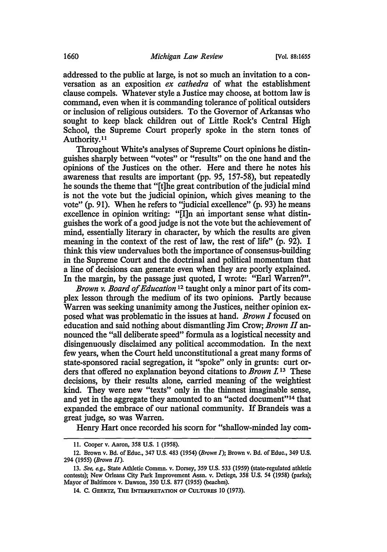addressed to the public at large, is not so much an invitation to a conversation as an exposition *ex cathedra* of what the establishment clause compels. Whatever style a Justice may choose, at bottom law is command, even when it is commanding tolerance of political outsiders or inclusion of religious outsiders. To the Governor of Arkansas who sought to keep black children out of Little Rock's Central High School, the Supreme Court properly spoke in the stern tones of Authority.<sup>11</sup>

Throughout White's analyses of Supreme Court opinions he distinguishes sharply between "votes" or "results" on the one hand and the opinions of the Justices on the other. Here and there he notes his awareness that results are important (pp. 95, 157-58), but repeatedly he sounds the theme that "[t]he great contribution of the judicial mind is not the vote but the judicial opinion, which gives meaning to the vote" (p. 91). When he refers to ''judicial excellence" (p. 93) he means excellence in opinion writing: "[I]n an important sense what distinguishes the work of a good judge is not the vote but the achievement of mind, essentially literary in character, by which the results are given meaning in the context of the rest of law, the rest of life" (p. 92). I think this view undervalues both the importance of consensus-building in the Supreme Court and the doctrinal and political momentum that a line of decisions can generate even when they are poorly explained. In the margin, by the passage just quoted, I wrote: "Earl Warren?".

*Brown v. Board of Education* 12 taught only a minor part of its complex lesson through the medium of its two opinions. Partly because Warren was seeking unanimity among the Justices, neither opinion exposed what was problematic in the issues at hand. *Brown I* focused on education and said nothing about dismantling Jim Crow; *Brown II* announced the "all deliberate speed" formula as a logistical necessity and disingenuously disclaimed any political accommodation. In the next few years, when the Court held unconstitutional a great many forms of state-sponsored racial segregation, it "spoke" only in grunts: curt orders that offered no explanation beyond citations to *Brown L* 13 These decisions, by their results alone, carried meaning of the weightiest kind. They were new "texts" only in the thinnest imaginable sense, and yet in the aggregate they amounted to an "acted document"<sup>14</sup> that expanded the embrace of our national community. If Brandeis was a great judge, so was Warren.

Henry Hart once recorded his scorn for "shallow-minded lay com-

<sup>11.</sup> Cooper v. Aaron, 358 U.S. 1 (1958).

<sup>12.</sup> Brown v. Bd. of Educ., 347 U.S. 483 (1954) *(Brown I);* Brown v. Bd. of Educ., 349 U.S. 294 (1955) *(Brown II).* 

<sup>13.</sup> *See, e.g.,* State Athletic Commn. v. Dorsey, 359 U.S. 533 (1959) (state·regulated athletic contests); New Orleans City Park Improvement Assn. v. Detiege, 358 U.S. 54 (1958) (parks); Mayor of Baltimore v. Dawson, 350 U.S. 877 (1955) (beaches).

<sup>14.</sup> C. GEERTZ, THE INTERPRETATION OF CULTURES 10 (1973).